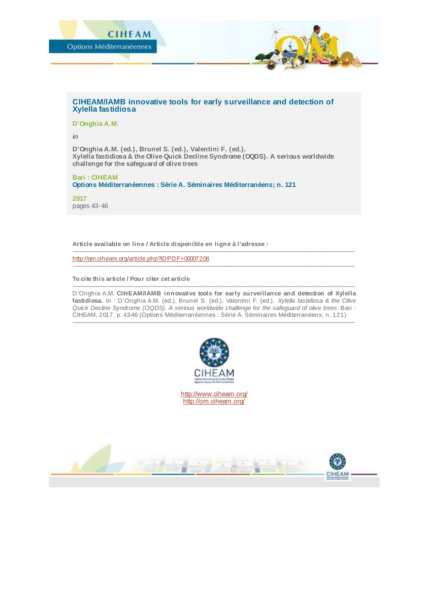

### **CIHEAM/IAMB innovative tools for early surveillance and detection of Xylella fastidiosa**

### **D'Onghia A.M.**

*in*

**D'Onghia A.M. (ed.), Brunel S. (ed.), Valentini F. (ed.). Xylella fastidiosa & the Olive Quick Decline Syndrome (OQDS). A serious worldwide challenge for the safeguard of olive trees**

**Bari : CIHEAM Options Méditerranéennes : Série A. Séminaires Méditerranéens; n. 121**

**2017** pages 43-46

**Article available on line / Article disponible en ligne à l'adresse :**

<http://om.ciheam.org/article.php?IDPDF=00007208>

#### **To cite this article / Pour citer cet article**

-------------------------------------------------------------------------------------------------------------------------------------------------------------------------- D'Onghia A.M. **CIHEAM/IAMB innovative tools for early surveillance and detection of Xylella fastidiosa.** In : D'Onghia A.M. (ed.), Brunel S. (ed.), Valentini F. (ed.). *Xylella fastidiosa & the Olive Quick Decline Syndrome (OQDS). A serious worldwide challenge for the safeguard of olive trees.* Bari : CIHEAM, 2017. p. 43-46 (Options Méditerranéennes : Série A. Séminaires Méditerranéens; n. 121)

--------------------------------------------------------------------------------------------------------------------------------------------------------------------------

--------------------------------------------------------------------------------------------------------------------------------------------------------------------------

--------------------------------------------------------------------------------------------------------------------------------------------------------------------------



<http://www.ciheam.org/> <http://om.ciheam.org/>

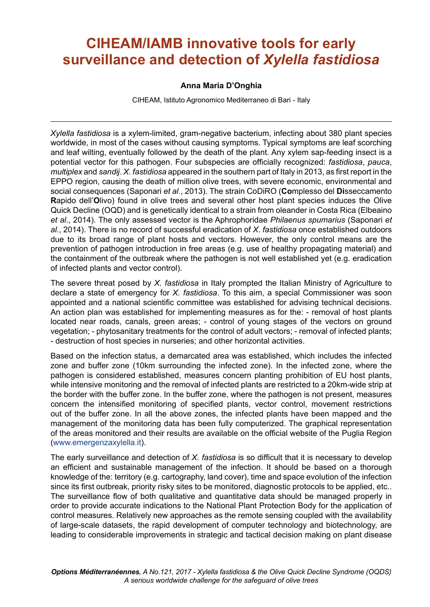# **CIHEAM/IAMB innovative tools for early surveillance and detection of** *Xylella fastidiosa*

### **Anna Maria DíOnghia**

CIHEAM, Istituto Agronomico Mediterraneo di Bari - Italy

*Xylella fastidiosa* is a xylem-limited, gram-negative bacterium, infecting about 380 plant species worldwide, in most of the cases without causing symptoms. Typical symptoms are leaf scorching and leaf wilting, eventually followed by the death of the plant. Any xylem sap-feeding insect is a potential vector for this pathogen. Four subspecies are oficially recognized: *fastidiosa*, *pauca*, *multiplex* and *sandij. X. fastidiosa* appeared in the southern part of Italy in 2013, as first report in the EPPO region, causing the death of million olive trees, with severe economic, environmental and social consequences (Saponari *et al*., 2013). The strain CoDiRO (**Co**mplesso del **Di**sseccamento **R**apido dellí**O**livo) found in olive trees and several other host plant species induces the Olive Quick Decline (OQD) and is genetically identical to a strain from oleander in Costa Rica (Elbeaino *et al*., 2014). The only assessed vector is the Aphrophoridae *Philaenus spumarius* (Saponari *et al*., 2014). There is no record of successful eradication of *X. fastidiosa* once established outdoors due to its broad range of plant hosts and vectors. However, the only control means are the prevention of pathogen introduction in free areas (e.g. use of healthy propagating material) and the containment of the outbreak where the pathogen is not well established yet (e.g. eradication of infected plants and vector control).

The severe threat posed by *X. fastidiosa* in Italy prompted the Italian Ministry of Agriculture to declare a state of emergency for *X. fastidiosa*. To this aim, a special Commissioner was soon appointed and a national scientiic committee was established for advising technical decisions. An action plan was established for implementing measures as for the: - removal of host plants located near roads, canals, green areas; - control of young stages of the vectors on ground vegetation; - phytosanitary treatments for the control of adult vectors; - removal of infected plants; - destruction of host species in nurseries; and other horizontal activities.

Based on the infection status, a demarcated area was established, which includes the infected zone and buffer zone (10km surrounding the infected zone). In the infected zone, where the pathogen is considered established, measures concern planting prohibition of EU host plants, while intensive monitoring and the removal of infected plants are restricted to a 20km-wide strip at the border with the buffer zone. In the buffer zone, where the pathogen is not present, measures concern the intensiied monitoring of speciied plants, vector control, movement restrictions out of the buffer zone. In all the above zones, the infected plants have been mapped and the management of the monitoring data has been fully computerized. The graphical representation of the areas monitored and their results are available on the oficial website of the Puglia Region (www.emergenzaxylella.it).

The early surveillance and detection of *X. fastidiosa* is so dificult that it is necessary to develop an eficient and sustainable management of the infection. It should be based on a thorough knowledge of the: territory (e.g. cartography, land cover), time and space evolution of the infection since its first outbreak, priority risky sites to be monitored, diagnostic protocols to be applied, etc.. The surveillance flow of both qualitative and quantitative data should be managed properly in order to provide accurate indications to the National Plant Protection Body for the application of control measures. Relatively new approaches as the remote sensing coupled with the availability of large-scale datasets, the rapid development of computer technology and biotechnology, are leading to considerable improvements in strategic and tactical decision making on plant disease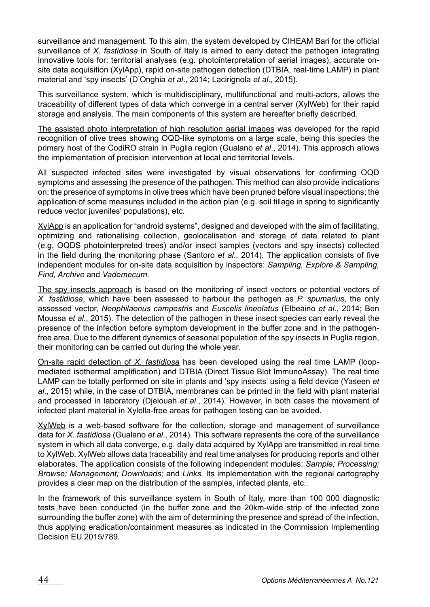surveillance and management. To this aim, the system developed by CIHEAM Bari for the oficial surveillance of *X. fastidiosa* in South of Italy is aimed to early detect the pathogen integrating innovative tools for: territorial analyses (e.g. photointerpretation of aerial images), accurate onsite data acquisition (XylApp), rapid on-site pathogen detection (DTBIA, real-time LAMP) in plant material and ëspy insectsí (DíOnghia *et al*., 2014; Lacirignola *et al*., 2015).

This surveillance system, which is multidisciplinary, multifunctional and multi-actors, allows the traceability of different types of data which converge in a central server (XylWeb) for their rapid storage and analysis. The main components of this system are hereafter briefly described.

The assisted photo interpretation of high resolution aerial images was developed for the rapid recognition of olive trees showing OQD-like symptoms on a large scale, being this species the primary host of the CodiRO strain in Puglia region (Gualano *et al*., 2014). This approach allows the implementation of precision intervention at local and territorial levels.

All suspected infected sites were investigated by visual observations for confirming OQD symptoms and assessing the presence of the pathogen. This method can also provide indications on: the presence of symptoms in olive trees which have been pruned before visual inspections; the application of some measures included in the action plan (e.g. soil tillage in spring to significantly reduce vector juveniles' populations), etc.

 $Xy$ lApp is an application for "android systems", designed and developed with the aim of facilitating, optimizing and rationalising collection, geolocalisation and storage of data related to plant (e.g. OQDS photointerpreted trees) and/or insect samples (vectors and spy insects) collected in the ield during the monitoring phase (Santoro *et al*., 2014). The application consists of ive independent modules for on-site data acquisition by inspectors: *Sampling, Explore & Sampling, Find, Archive* and *Vademecum.*

The spy insects approach is based on the monitoring of insect vectors or potential vectors of *X. fastidiosa*, which have been assessed to harbour the pathogen as *P. spumarius*, the only assessed vector, *Neophilaenus campestris* and *Euscelis lineolatus* (Elbeaino *et al*., 2014; Ben Moussa *et al*., 2015). The detection of the pathogen in these insect species can early reveal the presence of the infection before symptom development in the buffer zone and in the pathogenfree area. Due to the different dynamics of seasonal population of the spy insects in Puglia region, their monitoring can be carried out during the whole year.

On-site rapid detection of *X. fastidiosa* has been developed using the real time LAMP (loopmediated isothermal amplification) and DTBIA (Direct Tissue Blot ImmunoAssay). The real time LAMP can be totally performed on site in plants and 'spy insects' using a field device (Yaseen *et* al., 2015) while, in the case of DTBIA, membranes can be printed in the field with plant material and processed in laboratory (Djelouah *et al*., 2014). However, in both cases the movement of infected plant material in Xylella-free areas for pathogen testing can be avoided.

XylWeb is a web-based software for the collection, storage and management of surveillance data for *X. fastidiosa* (Gualano *et al*., 2014). This software represents the core of the surveillance system in which all data converge, e.g. daily data acquired by XylApp are transmitted in real time to XylWeb. XylWeb allows data traceability and real time analyses for producing reports and other elaborates. The application consists of the following independent modules: *Sample; Processing; Browse; Management; Downloads;* and *Links.* Its implementation with the regional cartography provides a clear map on the distribution of the samples, infected plants, etc..

In the framework of this surveillance system in South of Italy, more than 100 000 diagnostic tests have been conducted (in the buffer zone and the 20km-wide strip of the infected zone surrounding the buffer zone) with the aim of determining the presence and spread of the infection, thus applying eradication/containment measures as indicated in the Commission Implementing Decision EU 2015/789.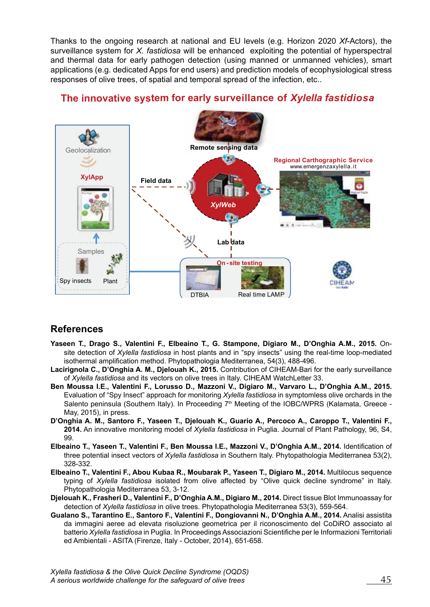Thanks to the ongoing research at national and EU levels (e.g. Horizon 2020 *Xf*-Actors), the surveillance system for *X. fastidiosa* will be enhanced exploiting the potential of hyperspectral and thermal data for early pathogen detection (using manned or unmanned vehicles), smart applications (e.g. dedicated Apps for end users) and prediction models of ecophysiological stress responses of olive trees, of spatial and temporal spread of the infection, etc..



### **The innovative system for early surveillance of** *Xylella fastidiosa*

## **References**

- **Yaseen T., Drago S., Valentini F., Elbeaino T., G. Stampone, Digiaro M., DíOnghia A.M., 2015.** Onsite detection of *Xylella fastidiosa* in host plants and in "spy insects" using the real-time loop-mediated isothermal amplification method. Phytopathologia Mediterranea, 54(3), 488-496.
- **Lacirignola C., DíOnghia A. M., Djelouah K., 2015.** Contribution of CIHEAM-Bari for the early surveillance of *Xylella fastidiosa* and its vectors on olive trees in Italy. CIHEAM WatchLetter 33.
- **Ben Moussa I.E., Valentini F., Lorusso D., Mazzoni V., Digiaro M., Varvaro L., DíOnghia A.M., 2015.** Evaluation of "Spy Insect" approach for monitoring *Xylella fastidiosa* in symptomless olive orchards in the Salento peninsula (Southern Italy). In Proceeding 7<sup>th</sup> Meeting of the IOBC/WPRS (Kalamata, Greece -May, 2015), in press.
- **DíOnghia A. M., Santoro F., Yaseen T., Djelouah K., Guario A., Percoco A., Caroppo T., Valentini F., 2014.** An innovative monitoring model of *Xylella fastidiosa* in Puglia. Journal of Plant Pathology, 96, S4, 99.
- **Elbeaino T., Yaseen T., Valentini F., Ben Moussa I.E., Mazzoni V., DíOnghia A.M., 2014.** Identiication of three potential insect vectors of *Xylella fastidiosa* in Southern Italy. Phytopathologia Mediterranea 53(2), 328-332.
- **Elbeaino T., Valentini F., Abou Kubaa R., Moubarak P., Yaseen T., Digiaro M., 2014.** Multilocus sequence typing of *Xylella fastidiosa* isolated from olive affected by "Olive quick decline syndrome" in Italy. Phytopathologia Mediterranea 53, 3-12.
- **Djelouah K., Frasheri D., Valentini F., DíOnghia A.M., Digiaro M., 2014.** Direct tissue Blot Immunoassay for detection of *Xylella fastidiosa* in olive trees. Phytopathologia Mediterranea 53(3), 559-564.
- **Gualano S., Tarantino E., Santoro F., Valentini F., Dongiovanni N., DíOnghia A.M., 2014.** Analisi assistita da immagini aeree ad elevata risoluzione geometrica per il riconoscimento del CoDiRO associato al batterio *Xylella fastidiosa* in Puglia. In Proceedings Associazioni Scientiiche per le Informazioni Territoriali ed Ambientali - ASITA (Firenze, Italy - October, 2014), 651-658.